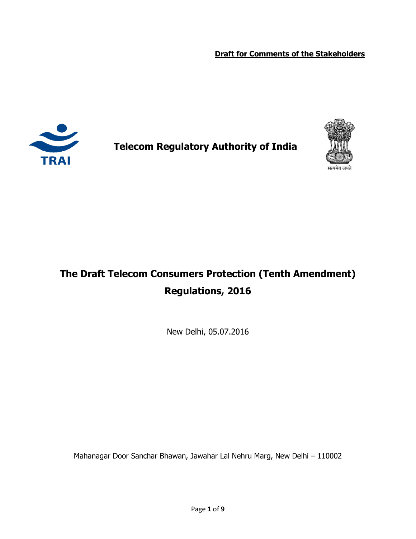**Draft for Comments of the Stakeholders** 



**Telecom Regulatory Authority of India**



# **The Draft Telecom Consumers Protection (Tenth Amendment) Regulations, 2016**

New Delhi, 05.07.2016

Mahanagar Door Sanchar Bhawan, Jawahar Lal Nehru Marg, New Delhi – 110002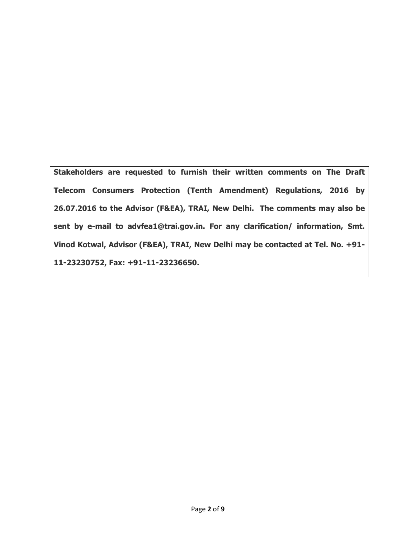**Stakeholders are requested to furnish their written comments on The Draft Telecom Consumers Protection (Tenth Amendment) Regulations, 2016 by 26.07.2016 to the Advisor (F&EA), TRAI, New Delhi. The comments may also be sent by e-mail to advfea1@trai.gov.in. For any clarification/ information, Smt. Vinod Kotwal, Advisor (F&EA), TRAI, New Delhi may be contacted at Tel. No. +91- 11-23230752, Fax: +91-11-23236650.**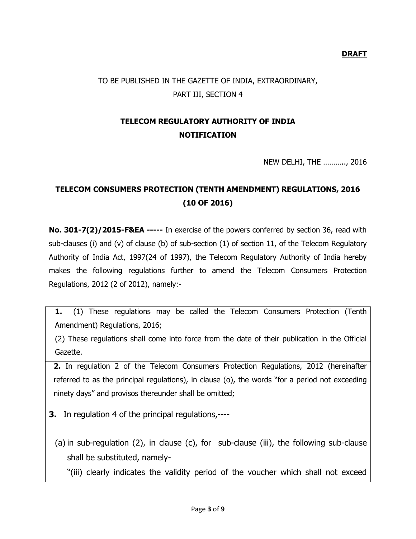**DRAFT**

### TO BE PUBLISHED IN THE GAZETTE OF INDIA, EXTRAORDINARY, PART III, SECTION 4

## **TELECOM REGULATORY AUTHORITY OF INDIA NOTIFICATION**

NEW DELHI, THE ……….., 2016

### **TELECOM CONSUMERS PROTECTION (TENTH AMENDMENT) REGULATIONS, 2016 (10 OF 2016)**

**No. 301-7(2)/2015-F&EA -----** In exercise of the powers conferred by section 36, read with sub-clauses (i) and (v) of clause (b) of sub-section (1) of section 11, of the Telecom Regulatory Authority of India Act, 1997(24 of 1997), the Telecom Regulatory Authority of India hereby makes the following regulations further to amend the Telecom Consumers Protection Regulations, 2012 (2 of 2012), namely:-

**1.** (1) These regulations may be called the Telecom Consumers Protection (Tenth Amendment) Regulations, 2016;

(2) These regulations shall come into force from the date of their publication in the Official Gazette.

**2.** In regulation 2 of the Telecom Consumers Protection Regulations, 2012 (hereinafter referred to as the principal regulations), in clause (o), the words "for a period not exceeding ninety days" and provisos thereunder shall be omitted;

**3.** In regulation 4 of the principal regulations,----

(a) in sub-regulation (2), in clause (c), for sub-clause (iii), the following sub-clause shall be substituted, namely-

"(iii) clearly indicates the validity period of the voucher which shall not exceed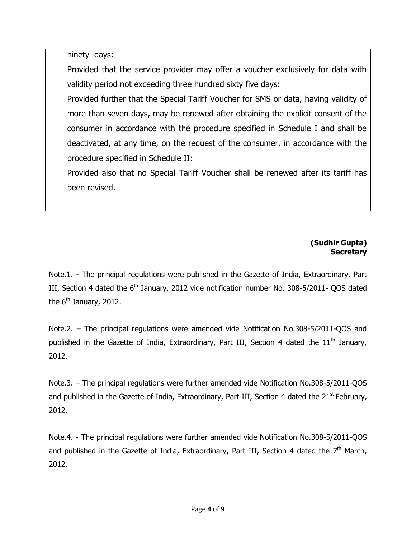ninety days:

Provided that the service provider may offer a voucher exclusively for data with validity period not exceeding three hundred sixty five days:

Provided further that the Special Tariff Voucher for SMS or data, having validity of more than seven days, may be renewed after obtaining the explicit consent of the consumer in accordance with the procedure specified in Schedule I and shall be deactivated, at any time, on the request of the consumer, in accordance with the procedure specified in Schedule II:

Provided also that no Special Tariff Voucher shall be renewed after its tariff has been revised.

#### **(Sudhir Gupta) Secretary**

Note.1. - The principal regulations were published in the Gazette of India, Extraordinary, Part III, Section 4 dated the  $6<sup>th</sup>$  January, 2012 vide notification number No. 308-5/2011- QOS dated the  $6<sup>th</sup>$  January, 2012.

Note.2. – The principal regulations were amended vide Notification No.308-5/2011-QOS and published in the Gazette of India, Extraordinary, Part III, Section 4 dated the  $11<sup>th</sup>$  January, 2012.

Note.3. – The principal regulations were further amended vide Notification No.308-5/2011-QOS and published in the Gazette of India, Extraordinary, Part III, Section 4 dated the  $21<sup>st</sup>$  February, 2012.

Note.4. - The principal regulations were further amended vide Notification No.308-5/2011-QOS and published in the Gazette of India, Extraordinary, Part III, Section 4 dated the  $7<sup>th</sup>$  March, 2012.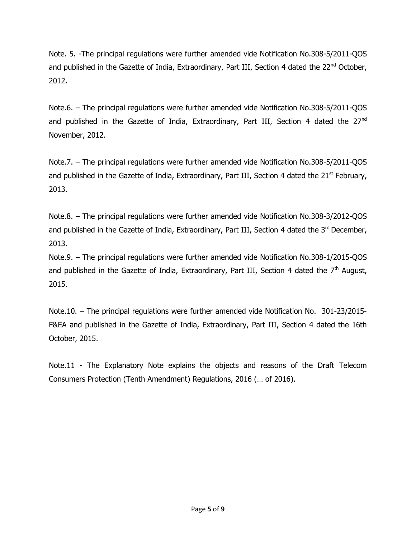Note. 5. -The principal regulations were further amended vide Notification No.308-5/2011-QOS and published in the Gazette of India, Extraordinary, Part III, Section 4 dated the 22<sup>nd</sup> October, 2012.

Note.6. – The principal regulations were further amended vide Notification No.308-5/2011-QOS and published in the Gazette of India, Extraordinary, Part III, Section 4 dated the 27<sup>nd</sup> November, 2012.

Note.7. – The principal regulations were further amended vide Notification No.308-5/2011-QOS and published in the Gazette of India, Extraordinary, Part III, Section 4 dated the  $21<sup>st</sup>$  February, 2013.

Note.8. – The principal regulations were further amended vide Notification No.308-3/2012-QOS and published in the Gazette of India, Extraordinary, Part III, Section 4 dated the 3rd December, 2013.

Note.9. – The principal regulations were further amended vide Notification No.308-1/2015-QOS and published in the Gazette of India, Extraordinary, Part III, Section 4 dated the  $7<sup>th</sup>$  August, 2015.

Note.10. – The principal regulations were further amended vide Notification No. 301-23/2015- F&EA and published in the Gazette of India, Extraordinary, Part III, Section 4 dated the 16th October, 2015.

Note.11 - The Explanatory Note explains the objects and reasons of the Draft Telecom Consumers Protection (Tenth Amendment) Regulations, 2016 (… of 2016).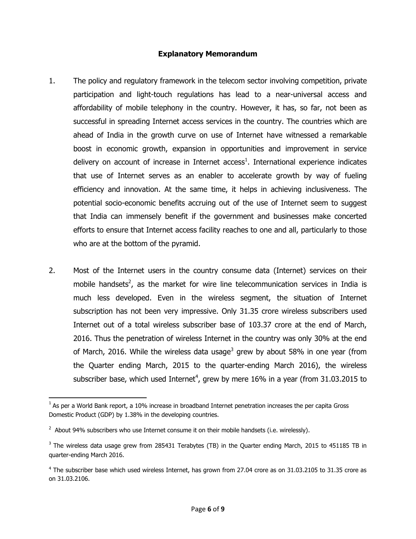#### **Explanatory Memorandum**

- 1. The policy and regulatory framework in the telecom sector involving competition, private participation and light-touch regulations has lead to a near-universal access and affordability of mobile telephony in the country. However, it has, so far, not been as successful in spreading Internet access services in the country. The countries which are ahead of India in the growth curve on use of Internet have witnessed a remarkable boost in economic growth, expansion in opportunities and improvement in service delivery on account of increase in Internet access<sup>1</sup>. International experience indicates that use of Internet serves as an enabler to accelerate growth by way of fueling efficiency and innovation. At the same time, it helps in achieving inclusiveness. The potential socio-economic benefits accruing out of the use of Internet seem to suggest that India can immensely benefit if the government and businesses make concerted efforts to ensure that Internet access facility reaches to one and all, particularly to those who are at the bottom of the pyramid.
- 2. Most of the Internet users in the country consume data (Internet) services on their mobile handsets<sup>2</sup>, as the market for wire line telecommunication services in India is much less developed. Even in the wireless segment, the situation of Internet subscription has not been very impressive. Only 31.35 crore wireless subscribers used Internet out of a total wireless subscriber base of 103.37 crore at the end of March, 2016. Thus the penetration of wireless Internet in the country was only 30% at the end of March, 2016. While the wireless data usage<sup>3</sup> grew by about 58% in one year (from the Quarter ending March, 2015 to the quarter-ending March 2016), the wireless subscriber base, which used Internet<sup>4</sup>, grew by mere 16% in a year (from 31.03.2015 to

l

 $^1$  As per a World Bank report, a 10% increase in broadband Internet penetration increases the per capita Gross Domestic Product (GDP) by 1.38% in the developing countries.

 $^2$  About 94% subscribers who use Internet consume it on their mobile handsets (i.e. wirelessly).

 $^3$  The wireless data usage grew from 285431 Terabytes (TB) in the Quarter ending March, 2015 to 451185 TB in quarter-ending March 2016.

<sup>&</sup>lt;sup>4</sup> The subscriber base which used wireless Internet, has grown from 27.04 crore as on 31.03.2105 to 31.35 crore as on 31.03.2106.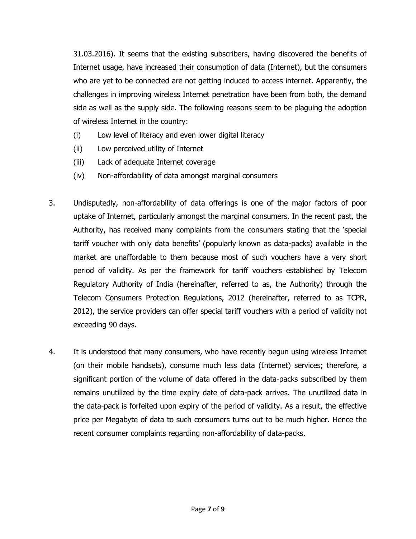31.03.2016). It seems that the existing subscribers, having discovered the benefits of Internet usage, have increased their consumption of data (Internet), but the consumers who are yet to be connected are not getting induced to access internet. Apparently, the challenges in improving wireless Internet penetration have been from both, the demand side as well as the supply side. The following reasons seem to be plaguing the adoption of wireless Internet in the country:

- (i) Low level of literacy and even lower digital literacy
- (ii) Low perceived utility of Internet
- (iii) Lack of adequate Internet coverage
- (iv) Non-affordability of data amongst marginal consumers
- 3. Undisputedly, non-affordability of data offerings is one of the major factors of poor uptake of Internet, particularly amongst the marginal consumers. In the recent past, the Authority, has received many complaints from the consumers stating that the 'special tariff voucher with only data benefits' (popularly known as data-packs) available in the market are unaffordable to them because most of such vouchers have a very short period of validity. As per the framework for tariff vouchers established by Telecom Regulatory Authority of India (hereinafter, referred to as, the Authority) through the Telecom Consumers Protection Regulations, 2012 (hereinafter, referred to as TCPR, 2012), the service providers can offer special tariff vouchers with a period of validity not exceeding 90 days.
- 4. It is understood that many consumers, who have recently begun using wireless Internet (on their mobile handsets), consume much less data (Internet) services; therefore, a significant portion of the volume of data offered in the data-packs subscribed by them remains unutilized by the time expiry date of data-pack arrives. The unutilized data in the data-pack is forfeited upon expiry of the period of validity. As a result, the effective price per Megabyte of data to such consumers turns out to be much higher. Hence the recent consumer complaints regarding non-affordability of data-packs.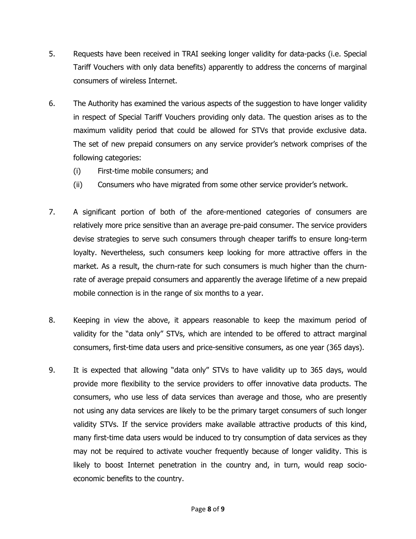- 5. Requests have been received in TRAI seeking longer validity for data-packs (i.e. Special Tariff Vouchers with only data benefits) apparently to address the concerns of marginal consumers of wireless Internet.
- 6. The Authority has examined the various aspects of the suggestion to have longer validity in respect of Special Tariff Vouchers providing only data. The question arises as to the maximum validity period that could be allowed for STVs that provide exclusive data. The set of new prepaid consumers on any service provider's network comprises of the following categories:
	- (i) First-time mobile consumers; and
	- (ii) Consumers who have migrated from some other service provider's network.
- 7. A significant portion of both of the afore-mentioned categories of consumers are relatively more price sensitive than an average pre-paid consumer. The service providers devise strategies to serve such consumers through cheaper tariffs to ensure long-term loyalty. Nevertheless, such consumers keep looking for more attractive offers in the market. As a result, the churn-rate for such consumers is much higher than the churnrate of average prepaid consumers and apparently the average lifetime of a new prepaid mobile connection is in the range of six months to a year.
- 8. Keeping in view the above, it appears reasonable to keep the maximum period of validity for the "data only" STVs, which are intended to be offered to attract marginal consumers, first-time data users and price-sensitive consumers, as one year (365 days).
- 9. It is expected that allowing "data only" STVs to have validity up to 365 days, would provide more flexibility to the service providers to offer innovative data products. The consumers, who use less of data services than average and those, who are presently not using any data services are likely to be the primary target consumers of such longer validity STVs. If the service providers make available attractive products of this kind, many first-time data users would be induced to try consumption of data services as they may not be required to activate voucher frequently because of longer validity. This is likely to boost Internet penetration in the country and, in turn, would reap socioeconomic benefits to the country.